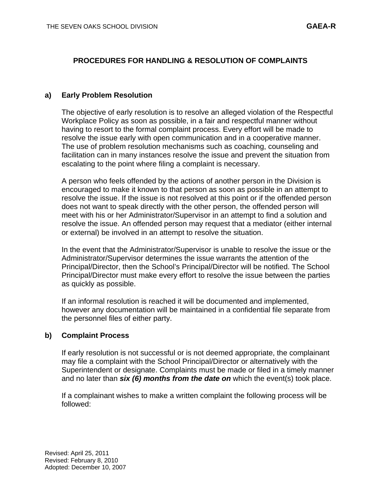## **PROCEDURES FOR HANDLING & RESOLUTION OF COMPLAINTS**

#### **a) Early Problem Resolution**

The objective of early resolution is to resolve an alleged violation of the Respectful Workplace Policy as soon as possible, in a fair and respectful manner without having to resort to the formal complaint process. Every effort will be made to resolve the issue early with open communication and in a cooperative manner. The use of problem resolution mechanisms such as coaching, counseling and facilitation can in many instances resolve the issue and prevent the situation from escalating to the point where filing a complaint is necessary.

A person who feels offended by the actions of another person in the Division is encouraged to make it known to that person as soon as possible in an attempt to resolve the issue. If the issue is not resolved at this point or if the offended person does not want to speak directly with the other person, the offended person will meet with his or her Administrator/Supervisor in an attempt to find a solution and resolve the issue. An offended person may request that a mediator (either internal or external) be involved in an attempt to resolve the situation.

In the event that the Administrator/Supervisor is unable to resolve the issue or the Administrator/Supervisor determines the issue warrants the attention of the Principal/Director, then the School's Principal/Director will be notified. The School Principal/Director must make every effort to resolve the issue between the parties as quickly as possible.

If an informal resolution is reached it will be documented and implemented, however any documentation will be maintained in a confidential file separate from the personnel files of either party.

#### **b) Complaint Process**

If early resolution is not successful or is not deemed appropriate, the complainant may file a complaint with the School Principal/Director or alternatively with the Superintendent or designate. Complaints must be made or filed in a timely manner and no later than *six (6) months from the date on* which the event(s) took place.

If a complainant wishes to make a written complaint the following process will be followed: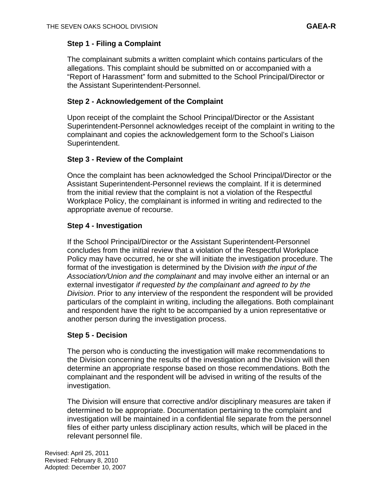# **Step 1 - Filing a Complaint**

The complainant submits a written complaint which contains particulars of the allegations. This complaint should be submitted on or accompanied with a "Report of Harassment" form and submitted to the School Principal/Director or the Assistant Superintendent-Personnel.

### **Step 2 - Acknowledgement of the Complaint**

Upon receipt of the complaint the School Principal/Director or the Assistant Superintendent-Personnel acknowledges receipt of the complaint in writing to the complainant and copies the acknowledgement form to the School's Liaison Superintendent.

### **Step 3 - Review of the Complaint**

Once the complaint has been acknowledged the School Principal/Director or the Assistant Superintendent-Personnel reviews the complaint. If it is determined from the initial review that the complaint is not a violation of the Respectful Workplace Policy, the complainant is informed in writing and redirected to the appropriate avenue of recourse.

# **Step 4 - Investigation**

If the School Principal/Director or the Assistant Superintendent-Personnel concludes from the initial review that a violation of the Respectful Workplace Policy may have occurred, he or she will initiate the investigation procedure. The format of the investigation is determined by the Division *with the input of the Association/Union and the complainant* and may involve either an internal or an external investigator *if requested by the complainant and agreed to by the Division*. Prior to any interview of the respondent the respondent will be provided particulars of the complaint in writing, including the allegations. Both complainant and respondent have the right to be accompanied by a union representative or another person during the investigation process.

### **Step 5 - Decision**

The person who is conducting the investigation will make recommendations to the Division concerning the results of the investigation and the Division will then determine an appropriate response based on those recommendations. Both the complainant and the respondent will be advised in writing of the results of the investigation.

The Division will ensure that corrective and/or disciplinary measures are taken if determined to be appropriate. Documentation pertaining to the complaint and investigation will be maintained in a confidential file separate from the personnel files of either party unless disciplinary action results, which will be placed in the relevant personnel file.